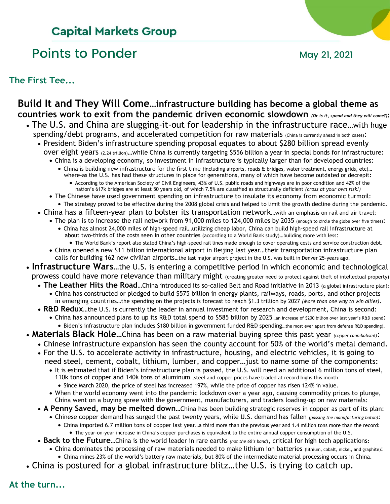# **Capital Markets Group**

## Points to Ponder May 21, 2021

**The First Tee...**

## **Build It and They Will Come…infrastructure building has become a global theme as countries work to exit from the pandemic driven economic slowdown** *(Or is it, spend and they will come?)***:**

- The U.S. and China are slugging-it-out for leadership in the infrastructure race…with huge spending/debt programs, and accelerated competition for raw materials (China is currently ahead in both cases):
	- President Biden's infrastructure spending proposal equates to about \$280 billion spread evenly over eight years (2.24 trillion)…while China is currently targeting \$556 billion a year in special bonds for infrastructure:
		- China is a developing economy, so investment in infrastructure is typically larger than for developed countries: • China is building new infrastructure for the first time (including airports, roads & bridges, water treatment, energy grids, etc)…
			- where-as the U.S. has had these structures in place for generations, many of which have become outdated or decrepit: • According to the American Society of Civil Engineers, 43% of U.S. public roads and highways are in poor condition and 42% of the
				- nation's 617k bridges are at least 50 years old, of which 7.5% are classified as structurally deficient *(cross at your own risk!)*
		- The Chinese have used government spending on infrastructure to insulate its economy from economic turmoil:
		- The strategy proved to be effective during the 2008 global crisis and helped to limit the growth decline during the pandemic.
	- China has a fifteen-year plan to bolster its transportation network…with an emphasis on rail and air travel:
		- The plan is to increase the rail network from 91,000 miles to 124,000 miles by 2035 (enough to circle the globe over five times): • China has almost 24,000 miles of high-speed rail…utilizing cheap labor, China can build high-speed rail infrastructure at about two-thirds of the costs seen in other countries (according to a World Bank study)…building more with less:
		- The World Bank's report also stated China's high-speed rail lines made enough to cover operating costs and service construction debt. • China opened a new \$11 billion international airport in Beijing last year…their transportation infrastructure plan calls for building 162 new civilian airports…the last major airport project in the U.S. was built in Denver 25-years ago.
- **Infrastructure Wars**…the U.S. is entering a competitive period in which economic and technological prowess could have more relevance than military might (creating greater need to protect against theft of intellectual property)
	- **The Leather Hits the Road**…China introduced its so-called Belt and Road initiative in 2013 (a global infrastructure plan):
		- China has constructed or pledged to build \$575 billion in energy plants, railways, roads, ports, and other projects in emerging countries…the spending on the projects is forecast to reach \$1.3 trillion by 2027 *(More than one way to win allies)*.
		- **R&D Redux**…the U.S. is currently the leader in annual investment for research and development, China is second:
			- China has announced plans to up its R&D total spend to \$585 billion by 2025…an increase of \$200 billion over last year's R&D spend: • Biden's infrastructure plan includes \$180 billion in government funded R&D spending…the most ever apart from defense R&D spending).
- **Materials Black Hole**…China has been on a raw material buying spree this past year *(copper cannibalism!)*:
	- Chinese infrastructure expansion has seen the county account for 50% of the world's metal demand.
		- For the U.S. to accelerate activity in infrastructure, housing, and electric vehicles, it is going to need steel, cement, cobalt, lithium, lumber, and copper…just to name some of the components:
			- It is estimated that if Biden's infrastructure plan is passed, the U.S. will need an additional 6 million tons of steel, 110k tons of copper and 140k tons of aluminum…steel and copper prices have traded at record highs this month:
				- Since March 2020, the price of steel has increased 197%, while the price of copper has risen 124% in value.
			- When the world economy went into the pandemic lockdown over a year ago, causing commodity prices to plunge, China went on a buying spree with the government, manufacturers, and traders loading-up on raw materials:
		- **A Penny Saved, may be melted down**…China has been building strategic reserves in copper as part of its plan:
			- Chinese copper demand has surged the past twenty years, while U.S. demand has fallen *(passing the manufacturing baton)*:
				- China imported 6.7 million tons of copper last year…a third more than the previous year and 1.4 million tons more than the record: • The year-on-year increase in China's copper purchases is equivalent to the entire annual copper consumption of the U.S.
		- **Back to the Future**…China is the world leader in rare earths *(not the 60's band)*, critical for high tech applications:
			- China dominates the processing of raw materials needed to make lithium ion batteries (lithium, cobalt, nickel, and graphite):
			- China mines 23% of the world's battery raw materials, but 80% of the intermediate material processing occurs in China.
- China is postured for a global infrastructure blitz…the U.S. is trying to catch up.

**At the turn...**